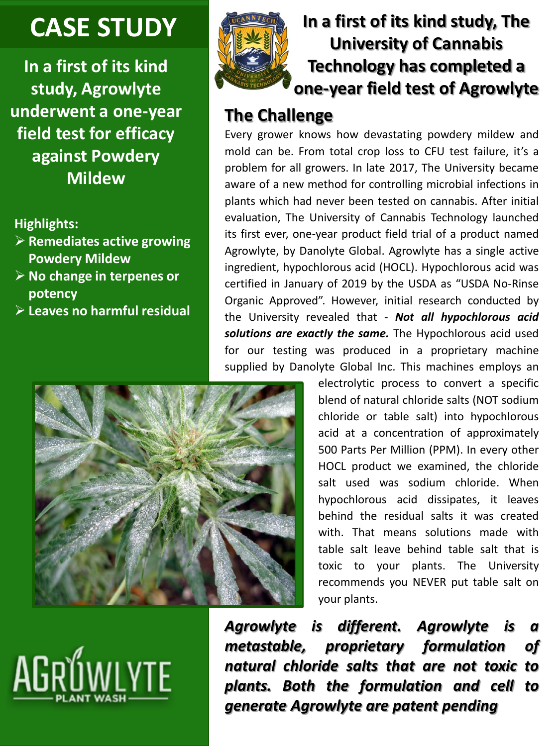# **CASE STUDY**

**In a first of its kind study, Agrowlyte underwent a one-year field test for efficacy against Powdery Mildew**

### **Highlights:**

- ➢ **Remediates active growing Powdery Mildew**
- ➢ **No change in terpenes or potency**
- ➢ **Leaves no harmful residual**



# **In a first of its kind study, The University of Cannabis Technology has completed a one-year field test of Agrowlyte**

# **The Challenge**

Every grower knows how devastating powdery mildew and mold can be. From total crop loss to CFU test failure, it's a problem for all growers. In late 2017, The University became aware of a new method for controlling microbial infections in plants which had never been tested on cannabis. After initial evaluation, The University of Cannabis Technology launched its first ever, one-year product field trial of a product named Agrowlyte, by Danolyte Global. Agrowlyte has a single active ingredient, hypochlorous acid (HOCL). Hypochlorous acid was certified in January of 2019 by the USDA as "USDA No-Rinse Organic Approved". However, initial research conducted by the University revealed that - *Not all hypochlorous acid solutions are exactly the same.* The Hypochlorous acid used for our testing was produced in a proprietary machine supplied by Danolyte Global Inc. This machines employs an



electrolytic process to convert a specific blend of natural chloride salts (NOT sodium chloride or table salt) into hypochlorous acid at a concentration of approximately 500 Parts Per Million (PPM). In every other HOCL product we examined, the chloride salt used was sodium chloride. When hypochlorous acid dissipates, it leaves behind the residual salts it was created with. That means solutions made with table salt leave behind table salt that is toxic to your plants. The University recommends you NEVER put table salt on your plants.

*Agrowlyte is different. Agrowlyte is a metastable, proprietary formulation of natural chloride salts that are not toxic to plants. Both the formulation and cell to generate Agrowlyte are patent pending*

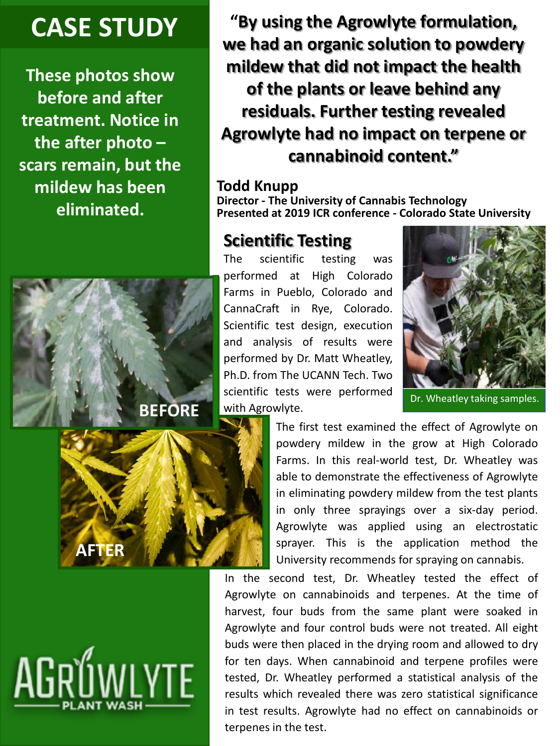# **CASE STUDY**

**These photos show before and after treatment. Notice in the after photo – scars remain, but the mildew has been eliminated.**



### **Todd Knupp**

**Director - The University of Cannabis Technology Presented at 2019 ICR conference - Colorado State University**

## **Scientific Testing**

The scientific testing was performed at High Colorado Farms in Pueblo, Colorado and CannaCraft in Rye, Colorado. Scientific test design, execution and analysis of results were performed by Dr. Matt Wheatley, Ph.D. from The UCANN Tech. Two scientific tests were performed with Agrowlyte.



Dr. Wheatley taking samples.



**BEFORE**

The first test examined the effect of Agrowlyte on powdery mildew in the grow at High Colorado Farms. In this real-world test, Dr. Wheatley was able to demonstrate the effectiveness of Agrowlyte in eliminating powdery mildew from the test plants in only three sprayings over a six-day period. Agrowlyte was applied using an electrostatic sprayer. This is the application method the University recommends for spraying on cannabis.

In the second test, Dr. Wheatley tested the effect of Agrowlyte on cannabinoids and terpenes. At the time of harvest, four buds from the same plant were soaked in Agrowlyte and four control buds were not treated. All eight buds were then placed in the drying room and allowed to dry for ten days. When cannabinoid and terpene profiles were tested, Dr. Wheatley performed a statistical analysis of the results which revealed there was zero statistical significance in test results. Agrowlyte had no effect on cannabinoids or terpenes in the test.